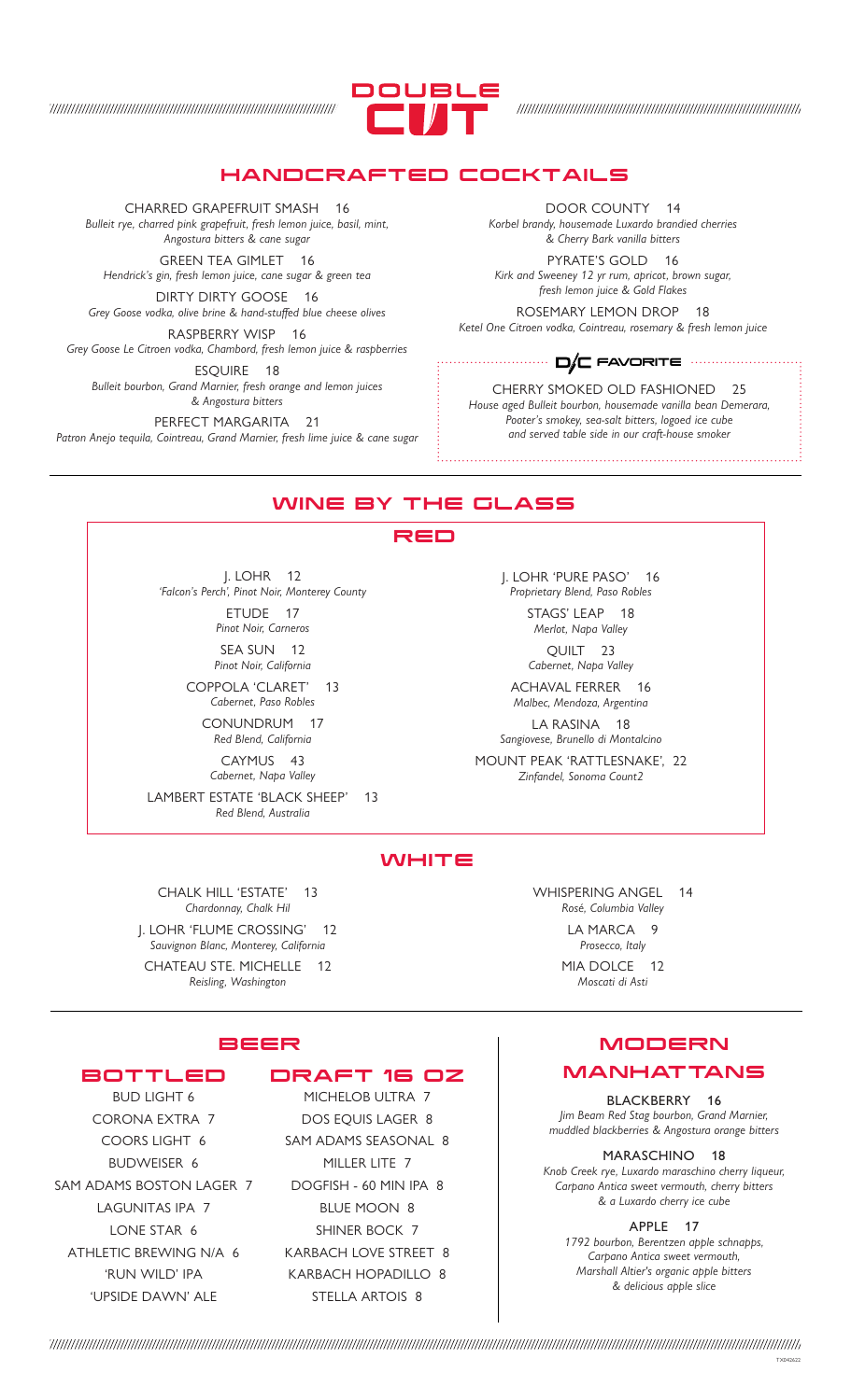

#### HANDCRAFTED COCKTAILS

CHARRED GRAPEFRUIT SMASH 16 *Bulleit rye, charred pink grapefruit, fresh lemon juice, basil, mint, Angostura bitters & cane sugar*

GREEN TEA GIMLET 16 *Hendrick's gin, fresh lemon juice, cane sugar & green tea*

DIRTY DIRTY GOOSE 16 *Grey Goose vodka, olive brine & hand-stuffed blue cheese olives*

RASPBERRY WISP 16 *Grey Goose Le Citroen vodka, Chambord, fresh lemon juice & raspberries* ESQUIRE 18

*Bulleit bourbon, Grand Marnier, fresh orange and lemon juices & Angostura bitters*

PERFECT MARGARITA 21 *Patron Anejo tequila, Cointreau, Grand Marnier, fresh lime juice & cane sugar*

DOOR COUNTY 14 *Korbel brandy, housemade Luxardo brandied cherries & Cherry Bark vanilla bitters*

PYRATE'S GOLD 16 *Kirk and Sweeney 12 yr rum, apricot, brown sugar, fresh lemon juice & Gold Flakes*

ROSEMARY LEMON DROP 18 *Ketel One Citroen vodka, Cointreau, rosemary & fresh lemon juice*

#### FAVORITE

CHERRY SMOKED OLD FASHIONED 25 *House aged Bulleit bourbon, housemade vanilla bean Demerara, Pooter's smokey, sea-salt bitters, logoed ice cube and served table side in our craft-house smoker*

#### WINE BY THE GLASS

#### RED

J. LOHR 12 *'Falcon's Perch', Pinot Noir, Monterey County* ETUDE 17

*Pinot Noir, Carneros* SEA SUN 12 *Pinot Noir, California*

COPPOLA 'CLARET' 13 *Cabernet, Paso Robles*

> CONUNDRUM 17 *Red Blend, California*

CAYMUS 43 *Cabernet, Napa Valley*

LAMBERT ESTATE 'BLACK SHEEP' 13 *Red Blend, Australia*

J. LOHR 'PURE PASO' 16 *Proprietary Blend, Paso Robles*

> STAGS' LEAP 18 *Merlot, Napa Valley*  $QUIII$   $23$

*Cabernet, Napa Valley*

ACHAVAL FERRER 16 *Malbec, Mendoza, Argentina*

LA RASINA 18 *Sangiovese, Brunello di Montalcino*

MOUNT PEAK 'RATTLESNAKE', 22 *Zinfandel, Sonoma Count2*

#### **WHITE**

CHALK HILL 'ESTATE' 13 *Chardonnay, Chalk Hil* J. LOHR 'FLUME CROSSING' 12 *Sauvignon Blanc, Monterey, California* CHATEAU STE. MICHELLE 12 *Reisling, Washington*

WHISPERING ANGEL 14 *Rosé, Columbia Valley*

> LA MARCA 9 *Prosecco, Italy*

MIA DOLCE 12 *Moscati di Asti*

# BEER

## BOTTLED

BUD LIGHT 6 CORONA EXTRA 7 COORS LIGHT 6 BUDWEISER 6 SAM ADAMS BOSTON LAGER 7 LAGUNITAS IPA 7 LONE STAR 6 ATHLETIC BREWING N/A 6 'RUN WILD' IPA 'UPSIDE DAWN' ALE

# DRAFT 16 OZ

MICHELOB ULTRA 7 DOS EQUIS LAGER 8 SAM ADAMS SEASONAL 8 MILLER LITE 7 DOGFISH - 60 MIN IPA 8 BLUE MOON 8 SHINER BOCK 7 KARBACH LOVE STREET 8 KARBACH HOPADILLO 8 STELLA ARTOIS 8

# MODERN MANHATTANS

BLACKBERRY 16 *Jim Beam Red Stag bourbon, Grand Marnier, muddled blackberries & Angostura orange bitters*

MARASCHINO 18 *Knob Creek rye, Luxardo maraschino cherry liqueur, Carpano Antica sweet vermouth, cherry bitters & a Luxardo cherry ice cube*

APPLE 17

*1792 bourbon, Berentzen apple schnapps, Carpano Antica sweet vermouth, Marshall Altier's organic apple bitters & delicious apple slice*

TX042622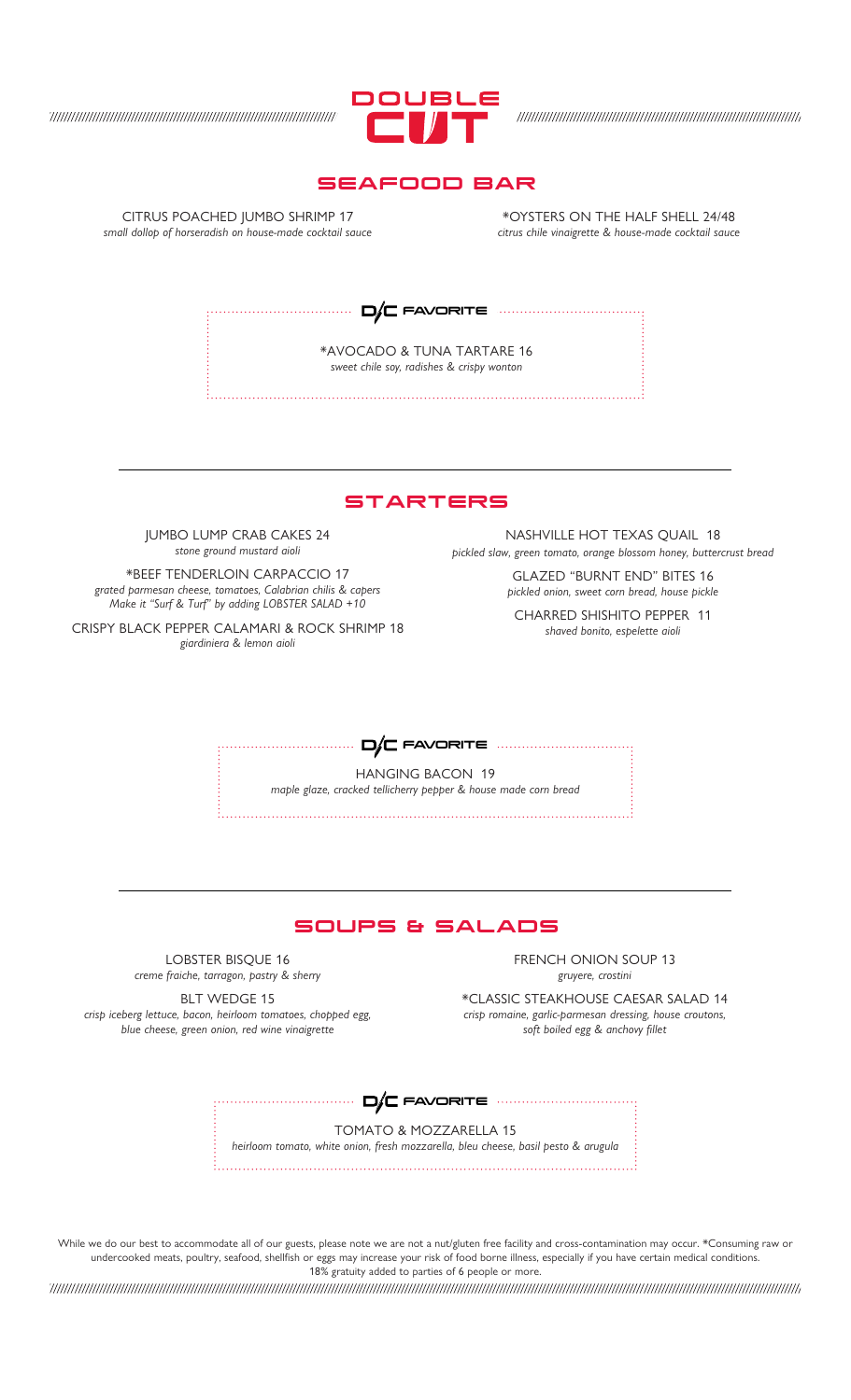

### SEAFOOD BAR

CITRUS POACHED JUMBO SHRIMP 17 *small dollop of horseradish on house-made cocktail sauce*

\*OYSTERS ON THE HALF SHELL 24/48 *citrus chile vinaigrette & house-made cocktail sauce*

 $\Box/\Box$  FAVORITE  $\cdots$ 

\*AVOCADO & TUNA TARTARE 16 *sweet chile soy, radishes & crispy wonton*

**STARTERS** 

JUMBO LUMP CRAB CAKES 24 *stone ground mustard aioli*

\*BEEF TENDERLOIN CARPACCIO 17 *grated parmesan cheese, tomatoes, Calabrian chilis & capers Make it "Surf & Turf" by adding LOBSTER SALAD +10*

CRISPY BLACK PEPPER CALAMARI & ROCK SHRIMP 18 *giardiniera & lemon aioli*

NASHVILLE HOT TEXAS QUAIL 18 *pickled slaw, green tomato, orange blossom honey, buttercrust bread*

> GLAZED "BURNT END" BITES 16 *pickled onion, sweet corn bread, house pickle*

CHARRED SHISHITO PEPPER 11 *shaved bonito, espelette aioli*

 $D/C$  FAVORITE  $\cdots$ 

HANGING BACON 19 *maple glaze, cracked tellicherry pepper & house made corn bread*



LOBSTER BISQUE 16 *creme fraiche, tarragon, pastry & sherry*

FRENCH ONION SOUP 13 *gruyere, crostini*

\*CLASSIC STEAKHOUSE CAESAR SALAD 14 *crisp romaine, garlic-parmesan dressing, house croutons, soft boiled egg & anchovy fillet*

BLT WEDGE 15 *crisp iceberg lettuce, bacon, heirloom tomatoes, chopped egg, blue cheese, green onion, red wine vinaigrette*

........... **D/C** FAVORITE .............................<sub>.</sub>

TOMATO & MOZZARELLA 15 *heirloom tomato, white onion, fresh mozzarella, bleu cheese, basil pesto & arugula*

While we do our best to accommodate all of our guests, please note we are not a nut/gluten free facility and cross-contamination may occur. \*Consuming raw or undercooked meats, poultry, seafood, shellfish or eggs may increase your risk of food borne illness, especially if you have certain medical conditions. 18% gratuity added to parties of 6 people or more.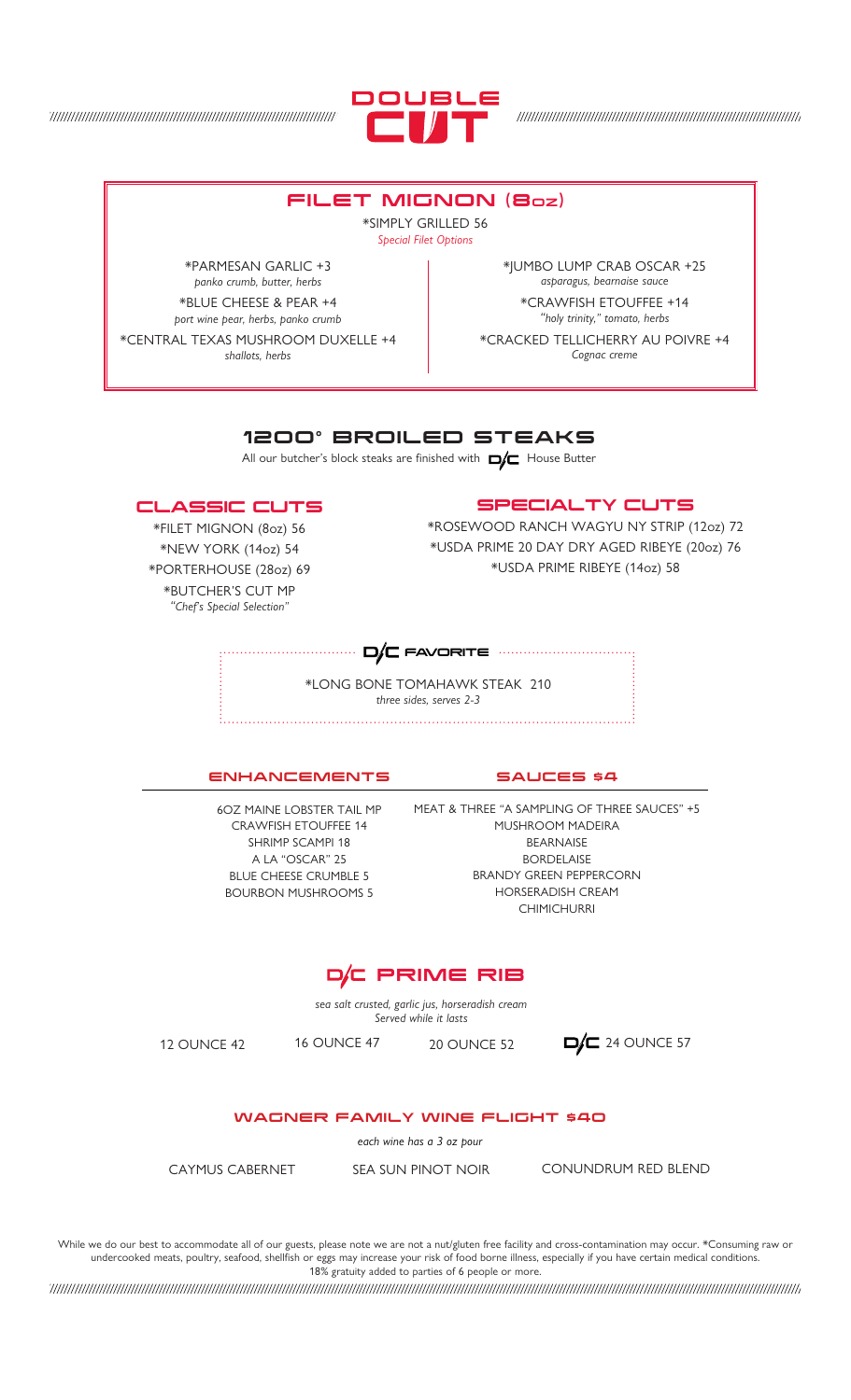

# FILET MIGNON (8OZ)

\*SIMPLY GRILLED 56 *Special Filet Options*

\*PARMESAN GARLIC +3 *panko crumb, butter, herbs* \*BLUE CHEESE & PEAR +4

*port wine pear, herbs, panko crumb* \*CENTRAL TEXAS MUSHROOM DUXELLE +4

*shallots, herbs*

\*JUMBO LUMP CRAB OSCAR +25 *asparagus, bearnaise sauce* \*CRAWFISH ETOUFFEE +14 *"holy trinity," tomato, herbs* \*CRACKED TELLICHERRY AU POIVRE +4

*Cognac creme*

# 1200° BROILED STEAKS

All our butcher's block steaks are finished with  $\Box/\Box$  House Butter

#### CLASSIC CUTS

\*FILET MIGNON (8oz) 56 \*NEW YORK (14oz) 54 \*PORTERHOUSE (28oz) 69 \*BUTCHER'S CUT MP *"Chef's Special Selection"*

# SPECIALTY CUTS

\*ROSEWOOD RANCH WAGYU NY STRIP (12oz) 72 \*USDA PRIME 20 DAY DRY AGED RIBEYE (20oz) 76 \*USDA PRIME RIBEYE (14oz) 58

#### $D/C$  FAVORITE  $\cdots$

\*LONG BONE TOMAHAWK STEAK 210 *three sides, serves 2-3* 

#### ENHANCEMENTS

6OZ MAINE LOBSTER TAIL MP CRAWFISH ETOUFFEE 14 SHRIMP SCAMPI 18 A LA "OSCAR" 25 BLUE CHEESE CRUMBLE 5 BOURBON MUSHROOMS 5

SAUCES \$4

MEAT & THREE "A SAMPLING OF THREE SAUCES" +5 MUSHROOM MADEIRA **BEARNAISE** BORDELAISE BRANDY GREEN PEPPERCORN HORSERADISH CREAM **CHIMICHURRI** 

# D/C PRIME RIB

*sea salt crusted, garlic jus, horseradish cream Served while it lasts*

12 OUNCE 42 16 OUNCE 47 20 OUNCE 52  $\Box$  24 OUNCE 57

#### WAGNER FAMILY WINE FLIGHT \$40

*each wine has a 3 oz pour*

CAYMUS CABERNET SEA SUN PINOT NOIR CONUNDRUM RED BLEND

While we do our best to accommodate all of our guests, please note we are not a nut/gluten free facility and cross-contamination may occur. \*Consuming raw or undercooked meats, poultry, seafood, shellfish or eggs may increase your risk of food borne illness, especially if you have certain medical conditions. 18% gratuity added to parties of 6 people or more.